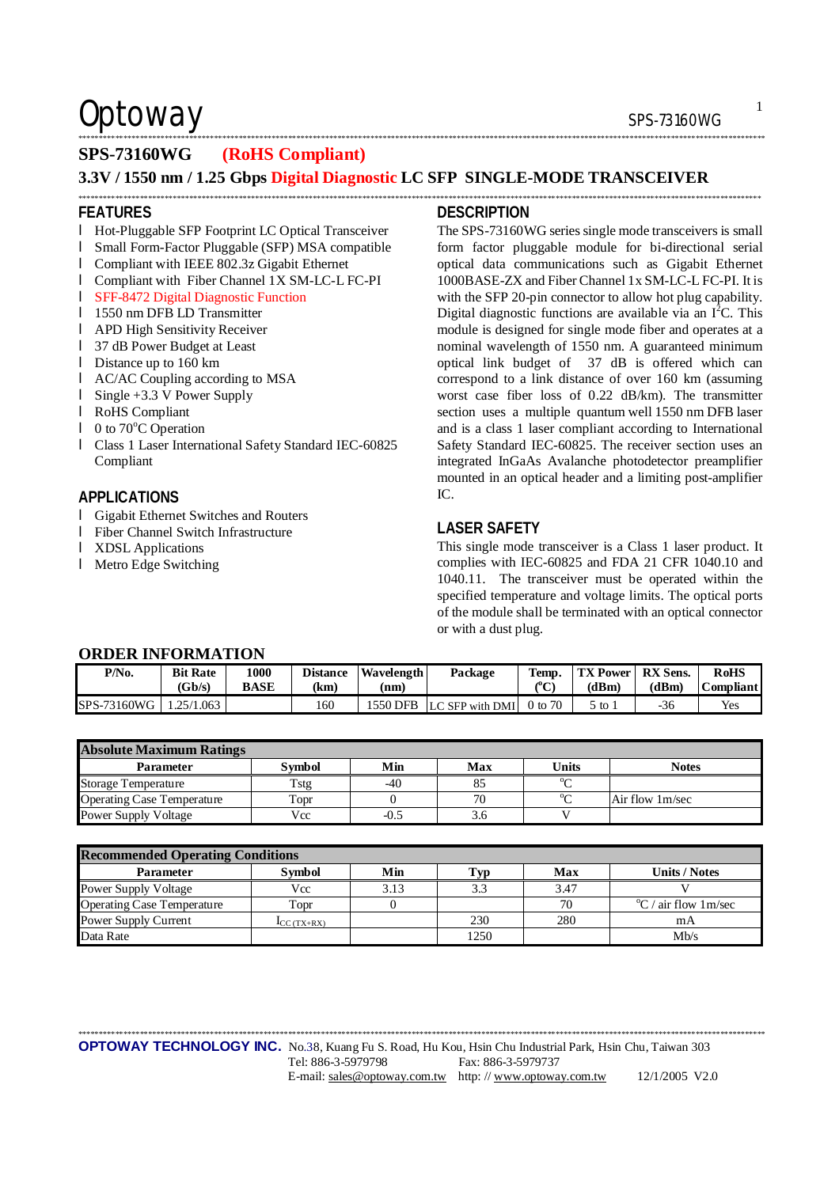### $\mathsf{Optionway}$  sps-73160WG

### \*\*\*\*\*\*\*\*\*\*\*\*\*\*\*\*\*\*\*\*\*\*\*\*\*\*\*\*\*\*\*\*\*\*\*\*\*\*\*\*\*\*\*\*\*\*\*\*\*\*\*\*\*\*\*\*\*\*\*\*\*\*\*\*\*\*\*\*\*\*\*\*\*\*\*\*\*\*\*\*\*\*\*\*\*\*\*\*\*\*\*\*\*\*\*\*\*\*\*\*\*\*\*\*\*\*\*\*\*\*\*\*\*\*\*\*\*\*\*\*\*\*\*\*\*\*\*\*\*\*\*\*\*\*\*\*\*\*\*\*\*\*\*\*\*\*\*\*\*\*\*\*\*\*\*\*\*\*\*\*\*\*\*\*\*\*\*

### **SPS-73160WG (RoHS Compliant)**

**3.3V / 1550 nm / 1.25 Gbps Digital Diagnostic LC SFP SINGLE-MODE TRANSCEIVER** 

\*\*\*\*\*\*\*\*\*\*\*\*\*\*\*\*\*\*\*\*\*\*\*\*\*\*\*\*\*\*\*\*\*\*\*\*\*\*\*\*\*\*\*\*\*\*\*\*\*\*\*\*\*\*\*\*\*\*\*\*\*\*\*\*\*\*\*\*\*\*\*\*\*\*\*\*\*\*\*\*\*\*\*\*\*\*\*\*\*\*\*\*\*\*\*\*\*\*\*\*\*\*\*\*\*\*\*\*\*\*\*\*\*\*\*\*\*\*\*\*\*\*\*\*\*\*\*\*\*\*\*\*\*\*\*\*\*\*\*\*\*\*\*\*\*\*\*\*\*\*\*\*\*\*\*\*\*\*\*\*\*\*\*\*\*\*

#### **FEATURES**

- l Hot-Pluggable SFP Footprint LC Optical Transceiver
- l Small Form-Factor Pluggable (SFP) MSA compatible
- l Compliant with IEEE 802.3z Gigabit Ethernet
- l Compliant with Fiber Channel 1X SM-LC-L FC-PI
- l SFF-8472 Digital Diagnostic Function
- l 1550 nm DFB LD Transmitter
- l APD High Sensitivity Receiver
- l 37 dB Power Budget at Least
- l Distance up to 160 km
- l AC/AC Coupling according to MSA
- l Single +3.3 V Power Supply
- l RoHS Compliant
- $\blacksquare$  0 to 70 $\degree$ C Operation
- l Class 1 Laser International Safety Standard IEC-60825 Compliant

### **APPLICATIONS**

- l Gigabit Ethernet Switches and Routers
- l Fiber Channel Switch Infrastructure
- l XDSL Applications
- l Metro Edge Switching

### **DESCRIPTION**

The SPS-73160WG series single mode transceivers is small form factor pluggable module for bi-directional serial optical data communications such as Gigabit Ethernet 1000BASE-ZX and Fiber Channel 1x SM-LC-L FC-PI. It is with the SFP 20-pin connector to allow hot plug capability. Digital diagnostic functions are available via an  $I<sup>2</sup>C$ . This module is designed for single mode fiber and operates at a nominal wavelength of 1550 nm. A guaranteed minimum optical link budget of 37 dB is offered which can correspond to a link distance of over 160 km (assuming worst case fiber loss of 0.22 dB/km). The transmitter section uses a multiple quantum well 1550 nm DFB laser and is a class 1 laser compliant according to International Safety Standard IEC-60825. The receiver section uses an integrated InGaAs Avalanche photodetector preamplifier mounted in an optical header and a limiting post-amplifier  $IC$ 

### **LASER SAFETY**

This single mode transceiver is a Class 1 laser product. It complies with IEC-60825 and FDA 21 CFR 1040.10 and 1040.11. The transceiver must be operated within the specified temperature and voltage limits. The optical ports of the module shall be terminated with an optical connector or with a dust plug.

| <b>ORDER INFORMATION</b> |
|--------------------------|
|--------------------------|

| P/N <sub>0</sub> | <b>Bit Rate</b><br>(Gb/s) | 1000<br><b>BASE</b> | <b>Distance</b><br>(km) | Wavelength<br>(nm | Package<br>Temp.<br>СC   |         | <b>TX Power</b><br>(dBm) | <b>RX</b> Sens.<br>(dBm) | <b>RoHS</b><br><b>Compliant</b> |
|------------------|---------------------------|---------------------|-------------------------|-------------------|--------------------------|---------|--------------------------|--------------------------|---------------------------------|
| SPS-73160WG      | .25/1.063                 |                     | 160                     |                   | 1550 DFB LC SFP with DMI | 0 to 70 | 5 to i                   | -36                      | Yes                             |

| <b>Absolute Maximum Ratings</b>   |        |        |     |              |                 |  |  |  |
|-----------------------------------|--------|--------|-----|--------------|-----------------|--|--|--|
| <b>Parameter</b>                  | Symbol | Min    | Max | <b>Units</b> | <b>Notes</b>    |  |  |  |
| <b>Storage Temperature</b>        | Tstg   | $-40$  |     | $0\sim$      |                 |  |  |  |
| <b>Operating Case Temperature</b> | Topr   |        | 70  | $0 \sim$     | Air flow 1m/sec |  |  |  |
| Power Supply Voltage              | Vcc    | $-0.5$ | 3.6 |              |                 |  |  |  |

| <b>Recommended Operating Conditions</b> |                          |      |      |      |                                    |  |  |  |
|-----------------------------------------|--------------------------|------|------|------|------------------------------------|--|--|--|
| <b>Parameter</b>                        | <b>Symbol</b>            | Min  | l'yp | Max  | <b>Units / Notes</b>               |  |  |  |
| <b>Power Supply Voltage</b>             | Vcc                      | 3.13 | 3.3  | 3.47 |                                    |  |  |  |
| <b>Operating Case Temperature</b>       | Topr                     |      |      | 70   | $\rm{^{\circ}C}$ / air flow 1m/sec |  |  |  |
| Power Supply Current                    | $\mathbf{I}_{CC(TX+RX)}$ |      | 230  | 280  | mA                                 |  |  |  |
| Data Rate                               |                          |      | 1250 |      | Mh/s                               |  |  |  |

\*\*\*\*\*\*\*\*\*\*\*\*\*\*\*\*\*\*\*\*\*\*\*\*\*\*\*\*\*\*\*\*\*\*\*\*\*\*\*\*\*\*\*\*\*\*\*\*\*\*\*\*\*\*\*\*\*\*\*\*\*\*\*\*\*\*\*\*\*\*\*\*\*\*\*\*\*\*\*\*\*\*\*\*\*\*\*\*\*\*\*\*\*\*\*\*\*\*\*\*\*\*\*\*\*\*\*\*\*\*\*\*\*\*\*\*\*\*\*\*\*\*\*\*\*\*\*\*\*\*\*\*\*\*\*\*\*\*\*\*\*\*\*\*\*\*\*\*\*\*\*\*\*\*\*\*\*\*\*\*\*\*\*\*\*\*\*

1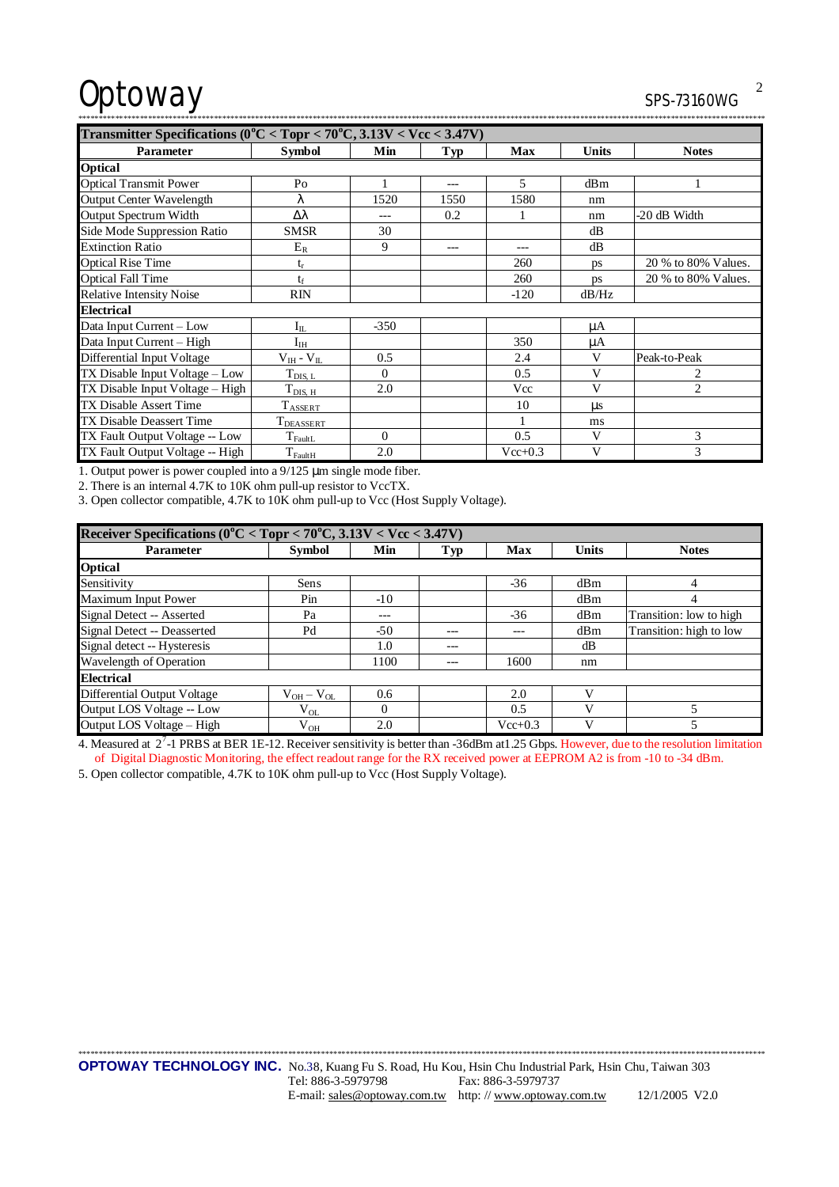# Optoway

### CDC 72140MC

| 55-13100WU |
|------------|
|            |

| Transmitter Specifications ( $0^{\circ}$ C < Topr < 70 $^{\circ}$ C, 3.13V < Vcc < 3.47V) |                     |          |      |           |              |                     |  |
|-------------------------------------------------------------------------------------------|---------------------|----------|------|-----------|--------------|---------------------|--|
| <b>Parameter</b>                                                                          | <b>Symbol</b>       | Min      | Typ  | Max       | <b>Units</b> | <b>Notes</b>        |  |
| <b>Optical</b>                                                                            |                     |          |      |           |              |                     |  |
| <b>Optical Transmit Power</b>                                                             | Po                  |          |      | 5         | dBm          |                     |  |
| Output Center Wavelength                                                                  | λ                   | 1520     | 1550 | 1580      | nm           |                     |  |
| <b>Output Spectrum Width</b>                                                              | Δλ                  |          | 0.2  |           | nm           | -20 dB Width        |  |
| Side Mode Suppression Ratio                                                               | <b>SMSR</b>         | 30       |      |           | dB           |                     |  |
| <b>Extinction Ratio</b>                                                                   | $E_R$               | 9        |      |           | dB           |                     |  |
| <b>Optical Rise Time</b>                                                                  | $t_r$               |          |      | 260       | ps           | 20 % to 80% Values. |  |
| <b>Optical Fall Time</b>                                                                  | $t_{\rm f}$         |          |      | 260       | ps           | 20 % to 80% Values. |  |
| <b>Relative Intensity Noise</b>                                                           | <b>RIN</b>          |          |      | $-120$    | dB/Hz        |                     |  |
| <b>Electrical</b>                                                                         |                     |          |      |           |              |                     |  |
| Data Input Current - Low                                                                  | $I_{IL}$            | $-350$   |      |           | μA           |                     |  |
| Data Input Current - High                                                                 | $\rm I_{IH}$        |          |      | 350       | μA           |                     |  |
| Differential Input Voltage                                                                | $V_{IH}$ - $V_{IL}$ | 0.5      |      | 2.4       | V            | Peak-to-Peak        |  |
| TX Disable Input Voltage – Low                                                            | $T_{\rm DIS,~L}$    | $\Omega$ |      | 0.5       | V            | 2                   |  |
| TX Disable Input Voltage - High                                                           | $T_{\rm DIS,~H}$    | 2.0      |      | Vcc       | V            | 2                   |  |
| <b>TX Disable Assert Time</b>                                                             | $T_{\text{ASSERT}}$ |          |      | 10        | us           |                     |  |
| <b>TX Disable Deassert Time</b>                                                           | I DEASSERT          |          |      |           | ms           |                     |  |
| TX Fault Output Voltage -- Low                                                            | $T_{faultL}$        | $\Omega$ |      | 0.5       | V            | 3                   |  |
| TX Fault Output Voltage -- High                                                           | $T_{\rm FaultH}$    | 2.0      |      | $Vec+0.3$ | V            | 3                   |  |

1. Output power is power coupled into a 9/125 µm single mode fiber.

2. There is an internal 4.7K to 10K ohm pull-up resistor to VccTX.

3. Open collector compatible, 4.7K to 10K ohm pull-up to Vcc (Host Supply Voltage).

| Receiver Specifications ( $0^{\circ}$ C < Topr < 70 $^{\circ}$ C, 3.13V < Vcc < 3.47V) |                 |          |     |             |              |                         |  |  |
|----------------------------------------------------------------------------------------|-----------------|----------|-----|-------------|--------------|-------------------------|--|--|
| <b>Parameter</b>                                                                       | <b>Symbol</b>   | Min      | Typ | Max         | <b>Units</b> | <b>Notes</b>            |  |  |
| <b>Optical</b>                                                                         |                 |          |     |             |              |                         |  |  |
| Sensitivity                                                                            | Sens            |          |     | $-36$       | dBm          | 4                       |  |  |
| Maximum Input Power                                                                    | Pin             | $-10$    |     |             | dBm          | 4                       |  |  |
| Signal Detect -- Asserted                                                              | Pa              | $---$    |     | -36         | dBm          | Transition: low to high |  |  |
| Signal Detect -- Deasserted                                                            | Pd              | $-50$    |     | ---         | dBm          | Transition: high to low |  |  |
| Signal detect -- Hysteresis                                                            |                 | 1.0      |     |             | dB           |                         |  |  |
| Wavelength of Operation                                                                |                 | 1100     |     | 1600        | nm           |                         |  |  |
| <b>Electrical</b>                                                                      |                 |          |     |             |              |                         |  |  |
| <b>Differential Output Voltage</b>                                                     | $V_{OH}-V_{OL}$ | 0.6      |     | 2.0         |              |                         |  |  |
| Output LOS Voltage -- Low                                                              | $\rm V_{OL}$    | $\Omega$ |     | 0.5         | V            |                         |  |  |
| Output LOS Voltage - High                                                              | $\rm V_{OH}$    | 2.0      |     | $Vec{+}0.3$ | V            |                         |  |  |

4. Measured at 2<sup>7</sup>-1 PRBS at BER 1E-12. Receiver sensitivity is better than -36dBm at 1.25 Gbps. However, due to the resolution limitation of Digital Diagnostic Monitoring, the effect readout range for the RX received power at EEPROM A2 is from -10 to -34 dBm.

5. Open collector compatible, 4.7K to 10K ohm pull-up to Vcc (Host Supply Voltage).

 $\overline{2}$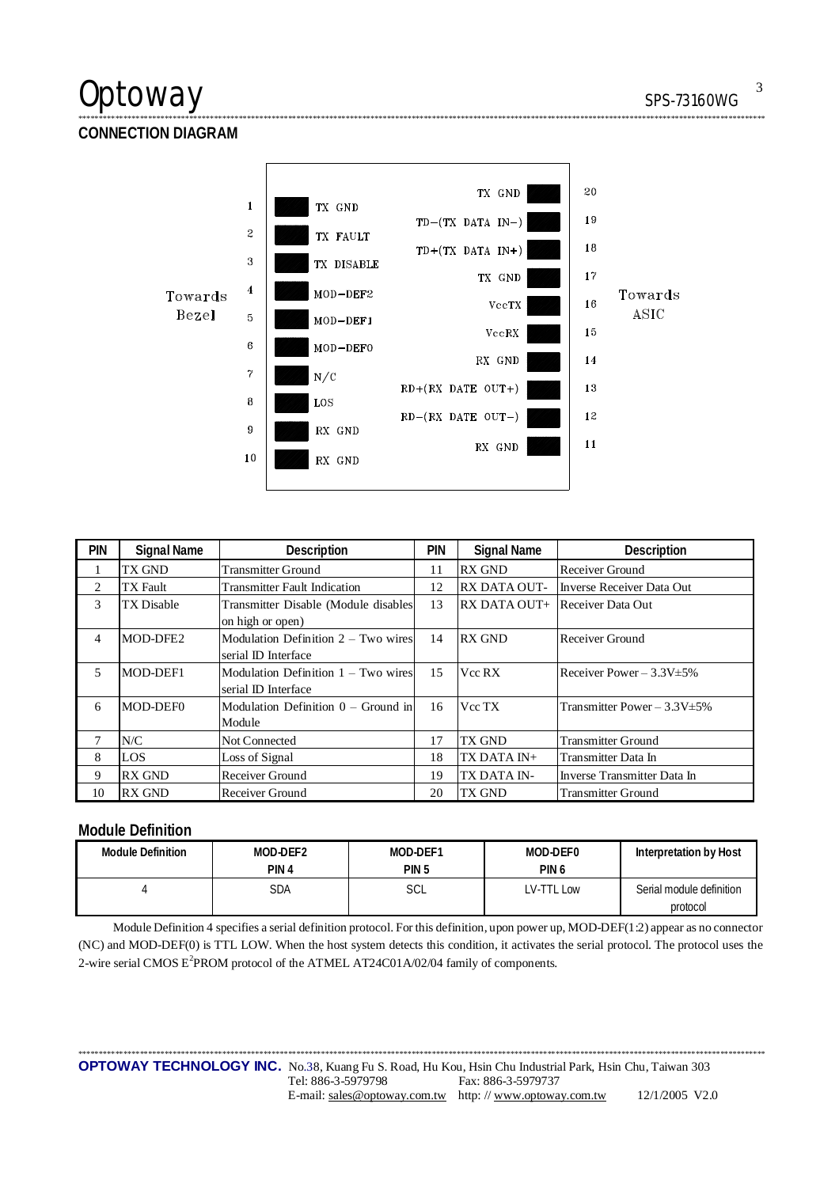### Optoway

 $\overline{3}$ 

. . . . . .

**CONNECTION DIAGRAM** 



| <b>PIN</b>     | <b>Signal Name</b> | Description                           | <b>PIN</b> | <b>Signal Name</b>  | Description                       |
|----------------|--------------------|---------------------------------------|------------|---------------------|-----------------------------------|
|                | TX GND             | <b>Transmitter Ground</b>             | 11         | <b>RX GND</b>       | Receiver Ground                   |
| 2              | TX Fault           | <b>Transmitter Fault Indication</b>   | 12         | <b>RX DATA OUT-</b> | Inverse Receiver Data Out         |
| 3              | TX Disable         | Transmitter Disable (Module disables  | 13         | RX DATA OUT+        | Receiver Data Out                 |
|                |                    | on high or open)                      |            |                     |                                   |
| 4              | MOD-DFE2           | Modulation Definition $2 - Two wires$ | 14         | <b>RX GND</b>       | Receiver Ground                   |
|                |                    | serial ID Interface                   |            |                     |                                   |
| $\overline{5}$ | MOD-DEF1           | Modulation Definition 1 – Two wires   | 15         | Vcc RX              | Receiver Power $-3.3V \pm 5\%$    |
|                |                    | serial ID Interface                   |            |                     |                                   |
| 6              | MOD-DEF0           | Modulation Definition $0 -$ Ground in | 16         | Vcc TX              | Transmitter Power $-3.3V \pm 5\%$ |
|                |                    | Module                                |            |                     |                                   |
| 7              | N/C                | Not Connected                         | 17         | TX GND              | <b>Transmitter Ground</b>         |
| 8              | LOS                | Loss of Signal                        | 18         | TX DATA IN+         | Transmitter Data In               |
| 9              | <b>RX GND</b>      | Receiver Ground                       | 19         | TX DATA IN-         | Inverse Transmitter Data In       |
| 10             | <b>RX GND</b>      | Receiver Ground                       | 20         | TX GND              | <b>Transmitter Ground</b>         |

### **Module Definition**

| <b>Module Definition</b> | MOD-DEF2<br>PIN <sub>4</sub> | MOD-DEF1<br>PIN <sub>5</sub> | MOD-DEF0<br>PIN <sub>6</sub> | Interpretation by Host               |
|--------------------------|------------------------------|------------------------------|------------------------------|--------------------------------------|
|                          | SDA                          | SCL                          | LV-TTL Low                   | Serial module definition<br>protocol |

Module Definition 4 specifies a serial definition protocol. For this definition, upon power up, MOD-DEF(1:2) appear as no connector (NC) and MOD-DEF(0) is TTL LOW. When the host system detects this condition, it activates the serial protocol. The protocol uses the 2-wire serial CMOS E<sup>2</sup>PROM protocol of the ATMEL AT24C01A/02/04 family of components.